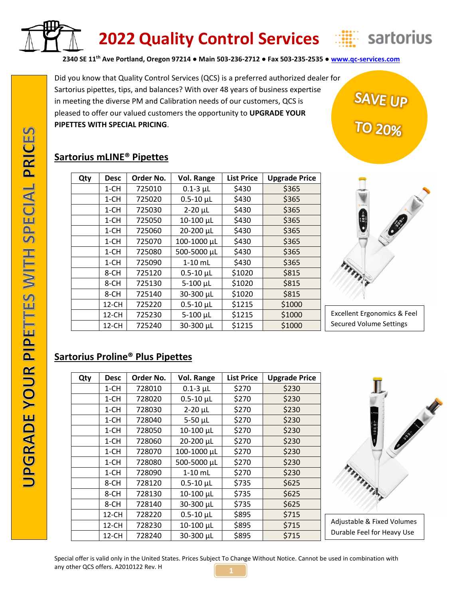

# **2022 Quality Control Services**



SAVE UP<br>TO 20%

**2340 SE 11th Ave Portland, Oregon 97214 ● Main 503-236-2712 ● Fax 503-235-2535 ● [www.qc-services.com](http://www.qc-services.com/)**

Did you know that Quality Control Services (QCS) is a preferred authorized dealer for Sartorius pipettes, tips, and balances? With over 48 years of business expertise in meeting the diverse PM and Calibration needs of our customers, QCS is pleased to offer our valued customers the opportunity to **UPGRADE YOUR PIPETTES WITH SPECIAL PRICING**.

## **Sartorius mLINE® Pipettes**

| Qty | <b>Desc</b> | Order No. | Vol. Range         | <b>List Price</b> | <b>Upgrade Price</b> |
|-----|-------------|-----------|--------------------|-------------------|----------------------|
|     | $1 - CH$    | 725010    | $0.1 - 3$ µL       | \$430             | \$365                |
|     | $1 - CH$    | 725020    | $0.5 - 10$ $\mu$ L | \$430             | \$365                |
|     | $1 - CH$    | 725030    | $2-20$ $\mu$ L     | \$430             | \$365                |
|     | $1 - CH$    | 725050    | 10-100 µL          | \$430             | \$365                |
|     | $1 - CH$    | 725060    | 20-200 µL          | \$430             | \$365                |
|     | $1 - CH$    | 725070    | 100-1000 µL        | \$430             | \$365                |
|     | $1 - CH$    | 725080    | 500-5000 µL        | \$430             | \$365                |
|     | $1 - CH$    | 725090    | $1-10$ mL          | \$430             | \$365                |
|     | 8-CH        | 725120    | $0.5 - 10$ $\mu$ L | \$1020            | \$815                |
|     | 8-CH        | 725130    | $5-100 \mu L$      | \$1020            | \$815                |
|     | 8-CH        | 725140    | 30-300 µL          | \$1020            | \$815                |
|     | 12-CH       | 725220    | $0.5 - 10$ µL      | \$1215            | \$1000               |
|     | 12-CH       | 725230    | 5-100 µL           | \$1215            | \$1000               |
|     | 12-CH       | 725240    | 30-300 µL          | \$1215            | \$1000               |



Excellent Ergonomics & Feel Secured Volume Settings

# **Sartorius Proline® Plus Pipettes**

| Qty | <b>Desc</b> | Order No. | <b>Vol. Range</b>  | <b>List Price</b> | <b>Upgrade Price</b> |
|-----|-------------|-----------|--------------------|-------------------|----------------------|
|     | $1 - CH$    | 728010    | $0.1 - 3$ µL       | \$270             | \$230                |
|     | $1 - CH$    | 728020    | $0.5 - 10$ $\mu$ L | \$270             | \$230                |
|     | $1 - CH$    | 728030    | $2-20$ $\mu$ L     | \$270             | \$230                |
|     | $1 - CH$    | 728040    | $5-50$ $\mu$ L     | \$270             | \$230                |
|     | 1-CH        | 728050    | 10-100 µL          | \$270             | \$230                |
|     | $1 - CH$    | 728060    | 20-200 µL          | \$270             | \$230                |
|     | $1 - CH$    | 728070    | 100-1000 µL        | \$270             | \$230                |
|     | $1 - CH$    | 728080    | 500-5000 µL        | \$270             | \$230                |
|     | 1-CH        | 728090    | $1-10$ mL          | \$270             | \$230                |
|     | 8-CH        | 728120    | $0.5 - 10$ µL      | \$735             | \$625                |
|     | 8-CH        | 728130    | 10-100 µL          | \$735             | \$625                |
|     | 8-CH        | 728140    | 30-300 µL          | \$735             | \$625                |
|     | 12-CH       | 728220    | $0.5 - 10$ µL      | \$895             | \$715                |
|     | 12-CH       | 728230    | 10-100 µL          | \$895             | \$715                |
|     | 12-CH       | 728240    | 30-300 µL          | \$895             | \$715                |



Special offer is valid only in the United States. Prices Subject To Change Without Notice. Cannot be used in combination with any other QCS offers. A2010122 Rev. H **1**